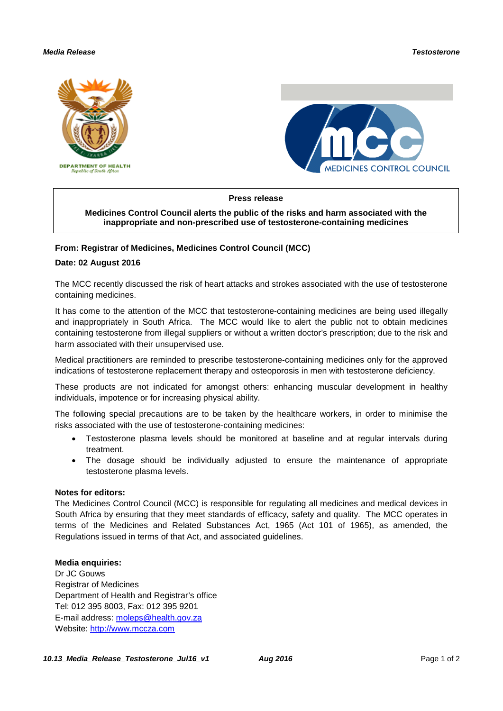# *Media Release Testosterone*





### **Press release**

# **Medicines Control Council alerts the public of the risks and harm associated with the inappropriate and non-prescribed use of testosterone-containing medicines**

# **From: Registrar of Medicines, Medicines Control Council (MCC)**

#### **Date: 02 August 2016**

The MCC recently discussed the risk of heart attacks and strokes associated with the use of testosterone containing medicines.

It has come to the attention of the MCC that testosterone-containing medicines are being used illegally and inappropriately in South Africa. The MCC would like to alert the public not to obtain medicines containing testosterone from illegal suppliers or without a written doctor's prescription; due to the risk and harm associated with their unsupervised use.

Medical practitioners are reminded to prescribe testosterone-containing medicines only for the approved indications of testosterone replacement therapy and osteoporosis in men with testosterone deficiency.

These products are not indicated for amongst others: enhancing muscular development in healthy individuals, impotence or for increasing physical ability.

The following special precautions are to be taken by the healthcare workers, in order to minimise the risks associated with the use of testosterone-containing medicines:

- Testosterone plasma levels should be monitored at baseline and at regular intervals during treatment.
- The dosage should be individually adjusted to ensure the maintenance of appropriate testosterone plasma levels.

#### **Notes for editors:**

The Medicines Control Council (MCC) is responsible for regulating all medicines and medical devices in South Africa by ensuring that they meet standards of efficacy, safety and quality. The MCC operates in terms of the Medicines and Related Substances Act, 1965 (Act 101 of 1965), as amended, the Regulations issued in terms of that Act, and associated guidelines.

### **Media enquiries:**

Dr JC Gouws Registrar of Medicines Department of Health and Registrar's office Tel: 012 395 8003, Fax: 012 395 9201 E-mail address: [moleps@health.gov.za](mailto:moleps@health.gov.za) Website: [http://www.mccza.com](http://www.mccza.com/)